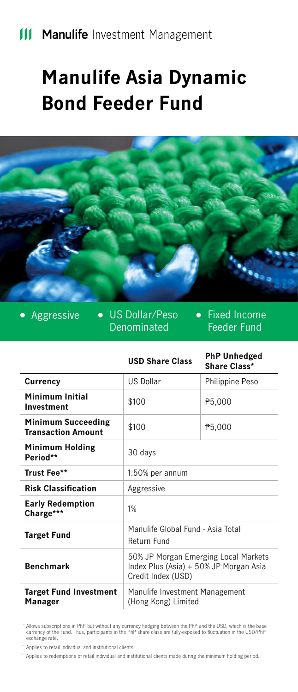# **Manulife Asia Dynamic Bond Feeder Fund**



• Aggressive • US Dollar/Peso Denominated

• Fixed Income Feeder Fund

|                                                        | <b>USD Share Class</b>                                                                               | <b>PhP Unhedged</b><br>Share Class* |
|--------------------------------------------------------|------------------------------------------------------------------------------------------------------|-------------------------------------|
| Currency                                               | <b>U.S. Dollar</b>                                                                                   | Philippine Peso                     |
| Minimum Initial<br>Investment                          | \$100                                                                                                | P <sub>5</sub> ,000                 |
| <b>Minimum Succeeding</b><br><b>Transaction Amount</b> | \$100                                                                                                | P <sub>5</sub> ,000                 |
| <b>Minimum Holding</b><br>Period**                     | 30 days                                                                                              |                                     |
| Trust Fee**                                            | 1.50% per annum                                                                                      |                                     |
| <b>Risk Classification</b>                             | Aggressive                                                                                           |                                     |
| <b>Early Redemption</b><br>Charge***                   | 1%                                                                                                   |                                     |
| <b>Target Fund</b>                                     | Manulife Global Fund - Asia Total<br>Return Fund                                                     |                                     |
| <b>Benchmark</b>                                       | 50% JP Morgan Emerging Local Markets<br>Index Plus (Asia) + 50% JP Morgan Asia<br>Credit Index (USD) |                                     |
| <b>Target Fund Investment</b><br>Manager               | Manulife Investment Management<br>(Hong Kong) Limited                                                |                                     |

Allows subscriptions in PhP but without any currency hedging between the PhP and the USD, which is the base currency of the Fund. Thus, participants in the PhP share class are fully-exposed to fluctuation in the USD/PhP \* exchange rate.

" Applies to retail individual and institutional clients.

Applies to redemptions of retail individual and institutional clients made during the minimum holding period. \*\*\*